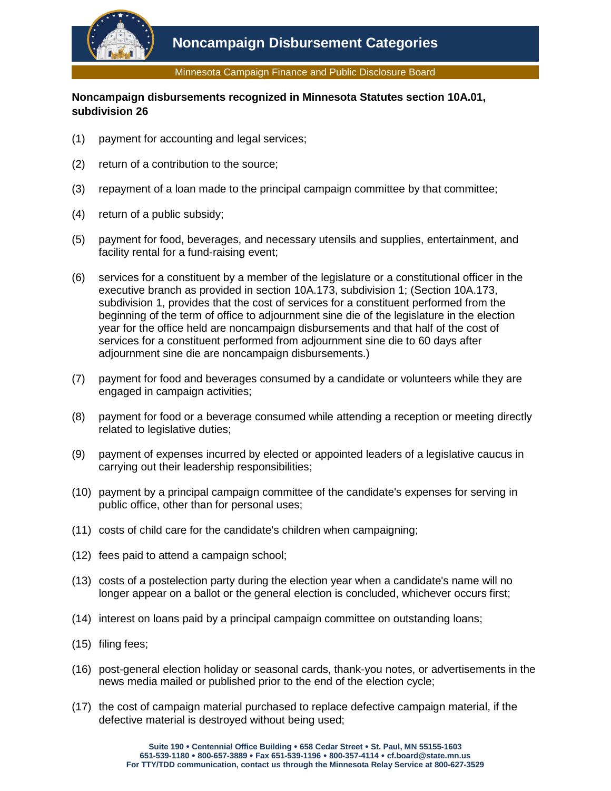

Minnesota Campaign Finance and Public Disclosure Board

## **Noncampaign disbursements recognized in Minnesota Statutes section 10A.01, subdivision 26**

- (1) payment for accounting and legal services;
- (2) return of a contribution to the source;
- (3) repayment of a loan made to the principal campaign committee by that committee;
- (4) return of a public subsidy;
- (5) payment for food, beverages, and necessary utensils and supplies, entertainment, and facility rental for a fund-raising event;
- (6) services for a constituent by a member of the legislature or a constitutional officer in the executive branch as provided in section 10A.173, subdivision 1; (Section 10A.173, subdivision 1, provides that the cost of services for a constituent performed from the beginning of the term of office to adjournment sine die of the legislature in the election year for the office held are noncampaign disbursements and that half of the cost of services for a constituent performed from adjournment sine die to 60 days after adjournment sine die are noncampaign disbursements.)
- (7) payment for food and beverages consumed by a candidate or volunteers while they are engaged in campaign activities;
- (8) payment for food or a beverage consumed while attending a reception or meeting directly related to legislative duties;
- (9) payment of expenses incurred by elected or appointed leaders of a legislative caucus in carrying out their leadership responsibilities;
- (10) payment by a principal campaign committee of the candidate's expenses for serving in public office, other than for personal uses;
- (11) costs of child care for the candidate's children when campaigning;
- (12) fees paid to attend a campaign school;
- (13) costs of a postelection party during the election year when a candidate's name will no longer appear on a ballot or the general election is concluded, whichever occurs first;
- (14) interest on loans paid by a principal campaign committee on outstanding loans;
- (15) filing fees;
- (16) post-general election holiday or seasonal cards, thank-you notes, or advertisements in the news media mailed or published prior to the end of the election cycle;
- (17) the cost of campaign material purchased to replace defective campaign material, if the defective material is destroyed without being used;